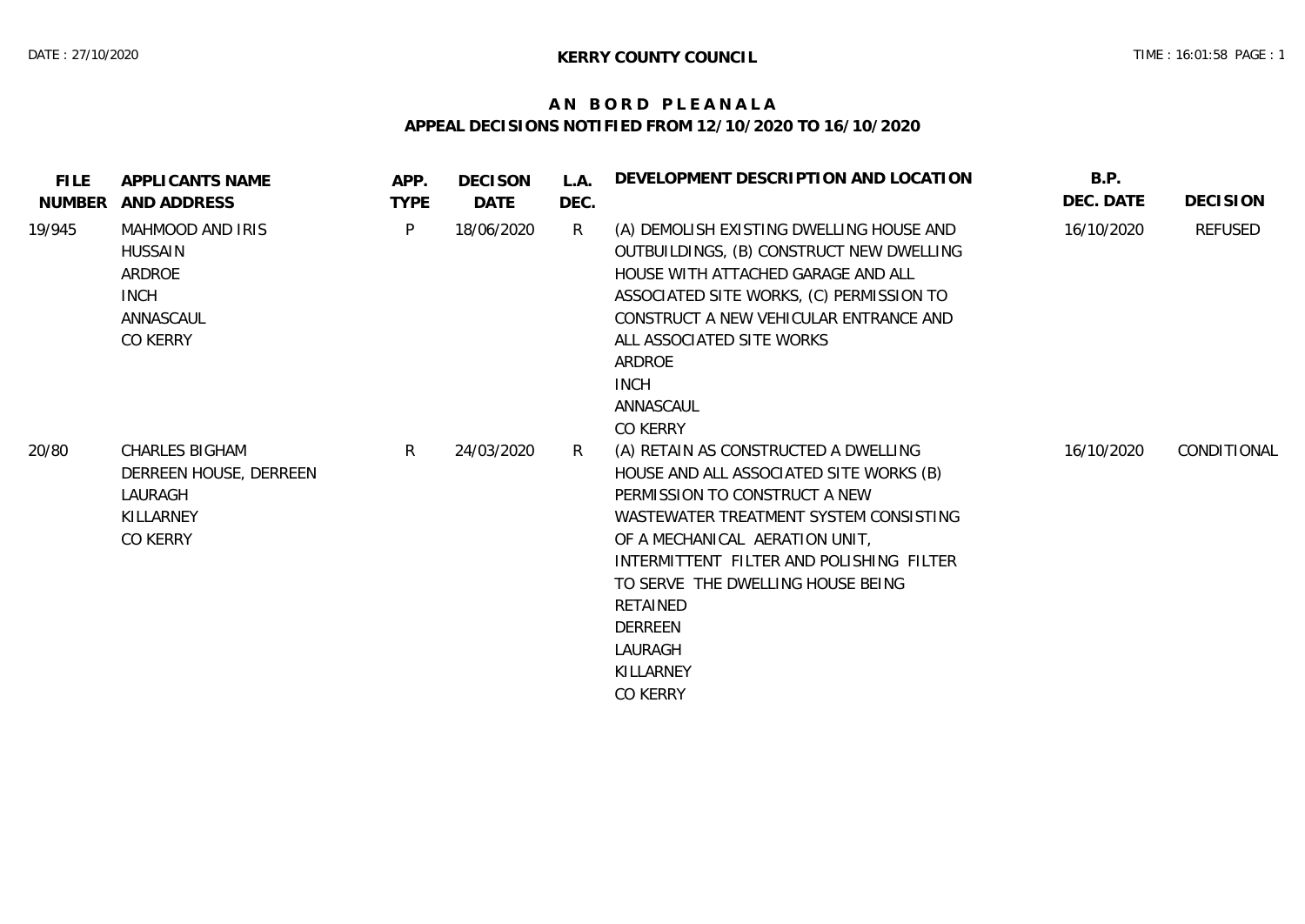## **A N B O R D P L E A N A L A APPEAL DECISIONS NOTIFIED FROM 12/10/2020 TO 16/10/2020**

| <b>FILE</b><br>NUMBER | APPLICANTS NAME<br>AND ADDRESS                                                       | APP.<br><b>TYPE</b> | <b>DECISON</b><br>DATE | L.A.<br>DEC. | DEVELOPMENT DESCRIPTION AND LOCATION                                                                                                                                                                                                                                                                                                            | B.P.<br>DEC. DATE | <b>DECISION</b> |
|-----------------------|--------------------------------------------------------------------------------------|---------------------|------------------------|--------------|-------------------------------------------------------------------------------------------------------------------------------------------------------------------------------------------------------------------------------------------------------------------------------------------------------------------------------------------------|-------------------|-----------------|
| 19/945                | MAHMOOD AND IRIS<br><b>HUSSAIN</b><br>ARDROE<br><b>INCH</b><br>ANNASCAUL<br>CO KERRY | P                   | 18/06/2020             | R            | (A) DEMOLISH EXISTING DWELLING HOUSE AND<br>OUTBUILDINGS, (B) CONSTRUCT NEW DWELLING<br>HOUSE WITH ATTACHED GARAGE AND ALL<br>ASSOCIATED SITE WORKS, (C) PERMISSION TO<br>CONSTRUCT A NEW VEHICULAR ENTRANCE AND<br>ALL ASSOCIATED SITE WORKS<br>ARDROE<br><b>INCH</b><br>ANNASCAUL<br>CO KERRY                                                 | 16/10/2020        | REFUSED         |
| 20/80                 | <b>CHARLES BIGHAM</b><br>DERREEN HOUSE, DERREEN<br>LAURAGH<br>KILLARNEY<br>CO KERRY  | R                   | 24/03/2020             | R            | (A) RETAIN AS CONSTRUCTED A DWELLING<br>HOUSE AND ALL ASSOCIATED SITE WORKS (B)<br>PERMISSION TO CONSTRUCT A NEW<br>WASTEWATER TREATMENT SYSTEM CONSISTING<br>OF A MECHANICAL AERATION UNIT,<br>INTERMITTENT FILTER AND POLISHING FILTER<br>TO SERVE THE DWELLING HOUSE BEING<br>RETAINED<br>DERREEN<br>LAURAGH<br>KILLARNEY<br><b>CO KERRY</b> | 16/10/2020        | CONDITIONAL     |